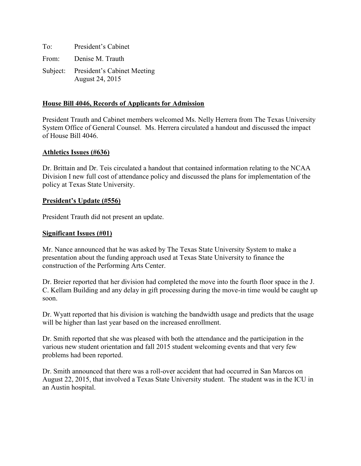To: President's Cabinet From: Denise M. Trauth Subject: President's Cabinet Meeting August 24, 2015

# **House Bill 4046, Records of Applicants for Admission**

President Trauth and Cabinet members welcomed Ms. Nelly Herrera from The Texas University System Office of General Counsel. Ms. Herrera circulated a handout and discussed the impact of House Bill 4046.

### **Athletics Issues (#636)**

Dr. Brittain and Dr. Teis circulated a handout that contained information relating to the NCAA Division I new full cost of attendance policy and discussed the plans for implementation of the policy at Texas State University.

# **President's Update (#556)**

President Trauth did not present an update.

### **Significant Issues (#01)**

Mr. Nance announced that he was asked by The Texas State University System to make a presentation about the funding approach used at Texas State University to finance the construction of the Performing Arts Center.

Dr. Breier reported that her division had completed the move into the fourth floor space in the J. C. Kellam Building and any delay in gift processing during the move-in time would be caught up soon.

Dr. Wyatt reported that his division is watching the bandwidth usage and predicts that the usage will be higher than last year based on the increased enrollment.

Dr. Smith reported that she was pleased with both the attendance and the participation in the various new student orientation and fall 2015 student welcoming events and that very few problems had been reported.

Dr. Smith announced that there was a roll-over accident that had occurred in San Marcos on August 22, 2015, that involved a Texas State University student. The student was in the ICU in an Austin hospital.